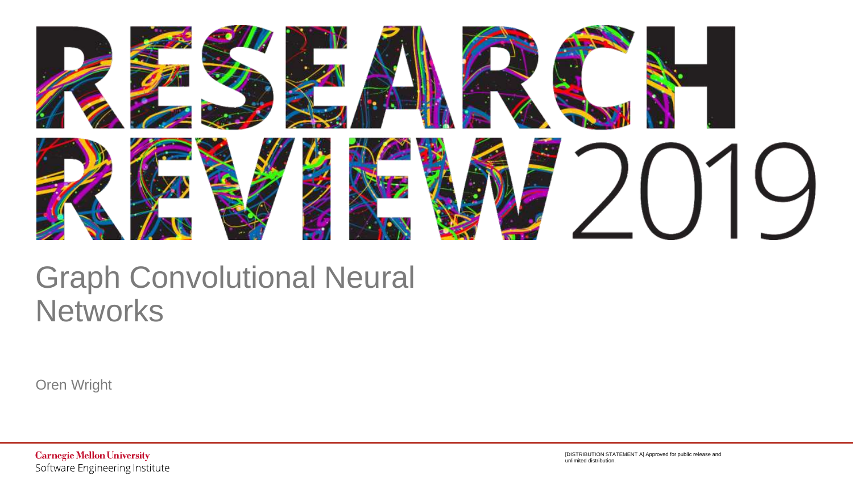

### Graph Convolutional Neural **Networks**

Oren Wright

**Carnegie Mellon University** Software Engineering Institute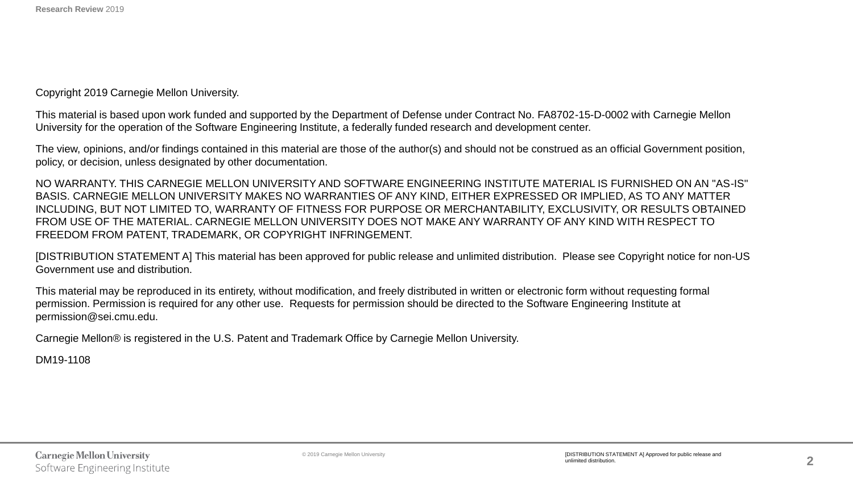Copyright 2019 Carnegie Mellon University.

This material is based upon work funded and supported by the Department of Defense under Contract No. FA8702-15-D-0002 with Carnegie Mellon University for the operation of the Software Engineering Institute, a federally funded research and development center.

The view, opinions, and/or findings contained in this material are those of the author(s) and should not be construed as an official Government position, policy, or decision, unless designated by other documentation.

NO WARRANTY. THIS CARNEGIE MELLON UNIVERSITY AND SOFTWARE ENGINEERING INSTITUTE MATERIAL IS FURNISHED ON AN "AS-IS" BASIS. CARNEGIE MELLON UNIVERSITY MAKES NO WARRANTIES OF ANY KIND, EITHER EXPRESSED OR IMPLIED, AS TO ANY MATTER INCLUDING, BUT NOT LIMITED TO, WARRANTY OF FITNESS FOR PURPOSE OR MERCHANTABILITY, EXCLUSIVITY, OR RESULTS OBTAINED FROM USE OF THE MATERIAL. CARNEGIE MELLON UNIVERSITY DOES NOT MAKE ANY WARRANTY OF ANY KIND WITH RESPECT TO FREEDOM FROM PATENT, TRADEMARK, OR COPYRIGHT INFRINGEMENT.

[DISTRIBUTION STATEMENT A] This material has been approved for public release and unlimited distribution. Please see Copyright notice for non-US Government use and distribution.

This material may be reproduced in its entirety, without modification, and freely distributed in written or electronic form without requesting formal permission. Permission is required for any other use. Requests for permission should be directed to the Software Engineering Institute at permission@sei.cmu.edu.

Carnegie Mellon® is registered in the U.S. Patent and Trademark Office by Carnegie Mellon University.

DM19-1108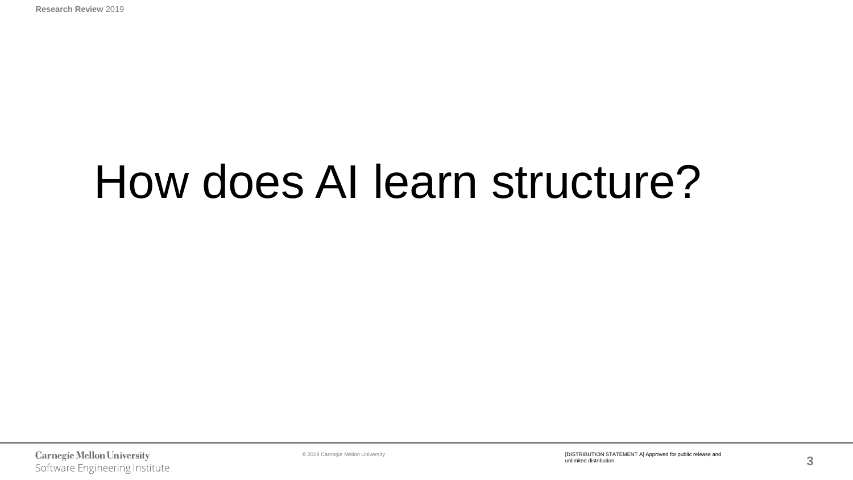# How does AI learn structure?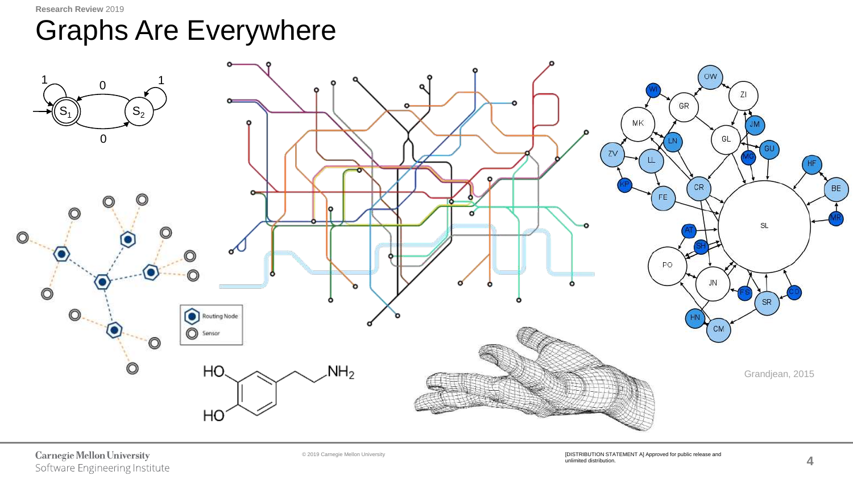**Research Review** 2019

### Graphs Are Everywhere



#### **Carnegie Mellon University** Software Engineering Institute

© 2019 Carnegie Mellon University [DISTRIBUTION STATEMENT A] Approved for public release and unlimited distribution.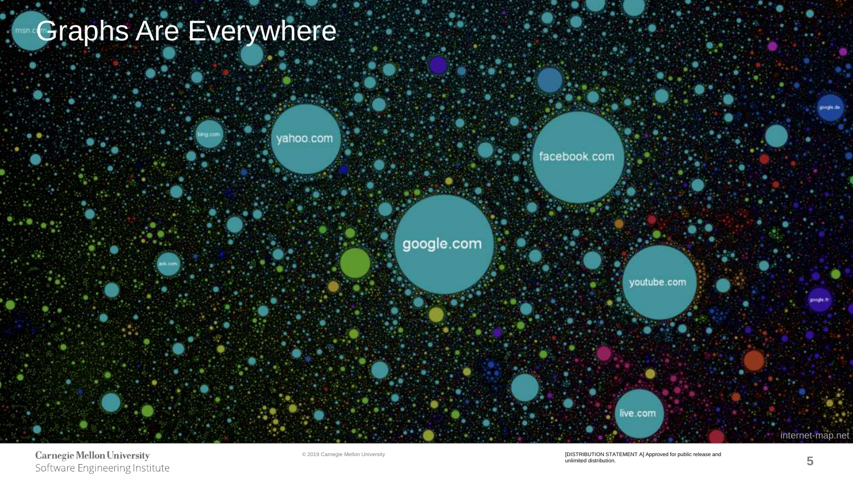## Graphs Are Everywhere

**Research Review** 2019



**Carnegie Mellon University** Software Engineering Institute

© 2019 Carnegie Mellon University [DISTRIBUTION STATEMENT A] Approved for public release and unlimited distribution.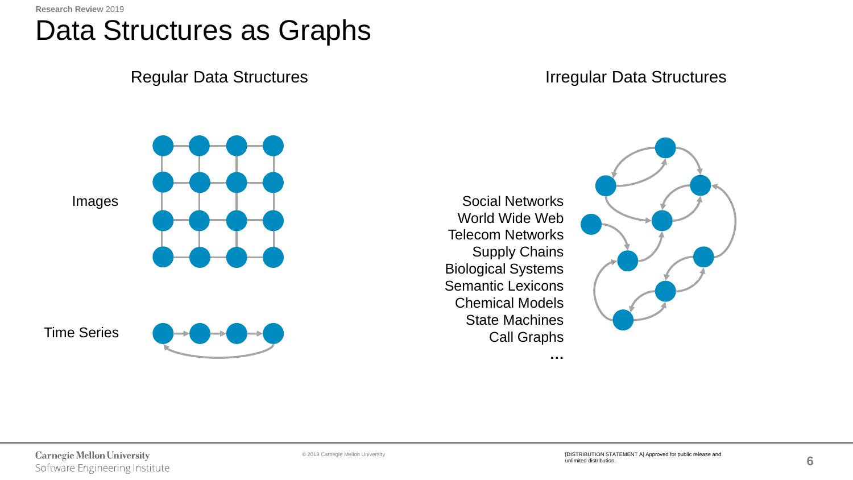### Data Structures as Graphs

Regular Data Structures **Integral and Australian Contract Contract Contract Contract Contract Contract Contract Contract Contract Contract Contract Contract Contract Contract Contract Contract Contract Contract Contract Co** 

Images



Time Series



Social Networks World Wide Web Telecom Networks Supply Chains Biological Systems Semantic Lexicons Chemical Models State Machines Call Graphs

**…**

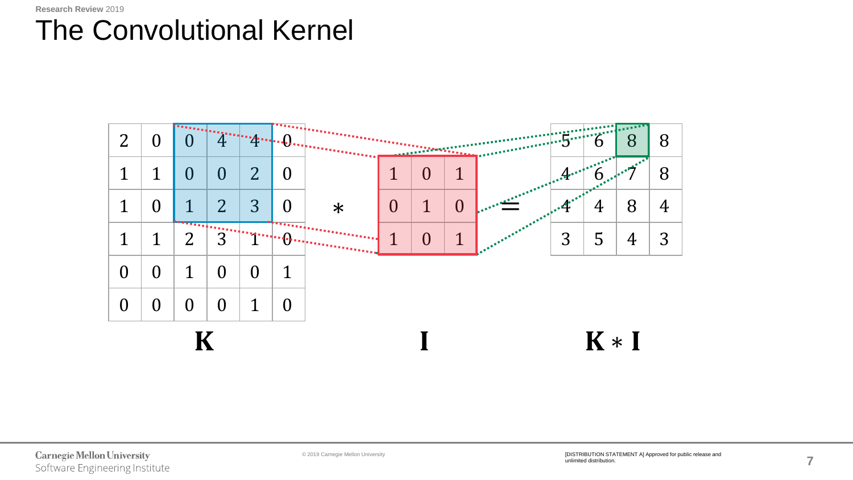### The Convolutional Kernel

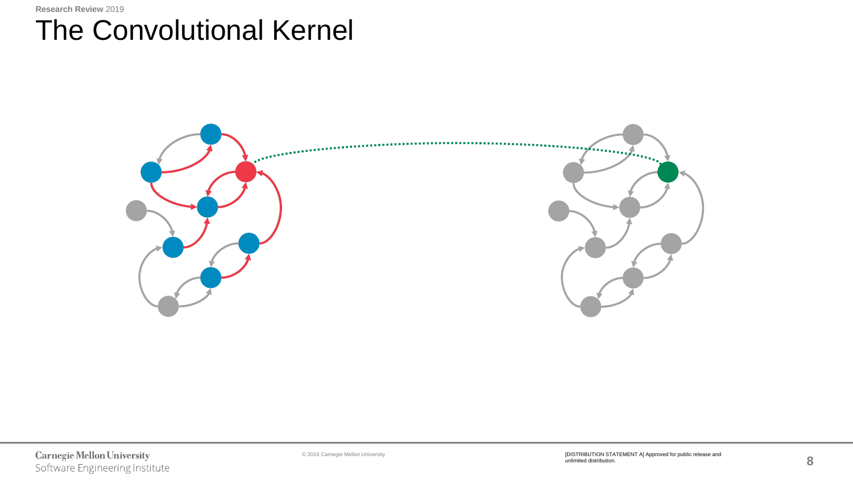### The Convolutional Kernel

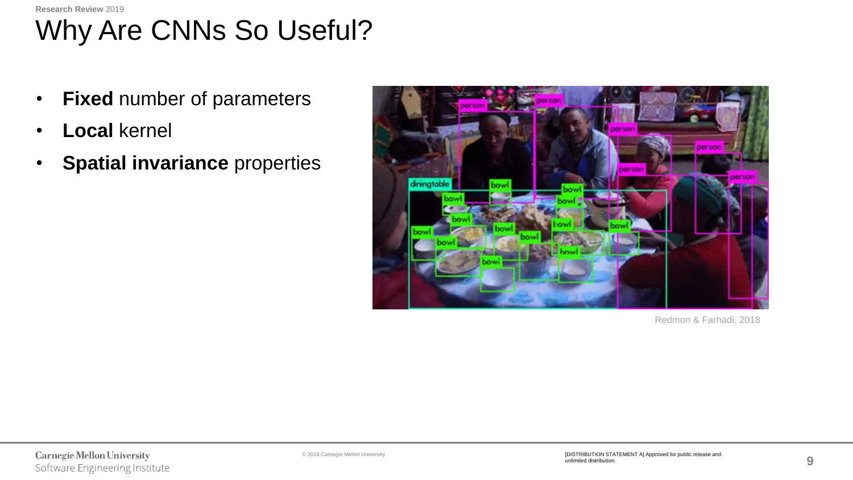#### **Research Review** 2019

# Why Are CNNs So Useful?

- **Fixed** number of parameters
- **Local** kernel
- **Spatial invariance** properties



Redmon & Farhadi, 2018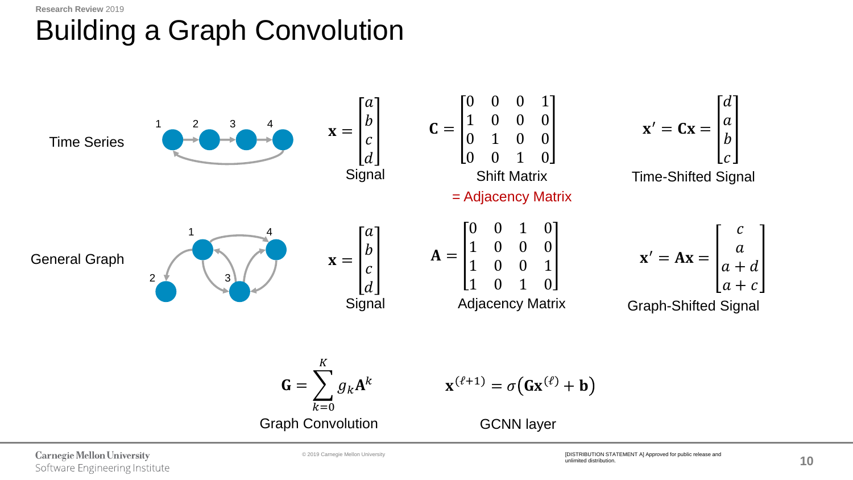#### **Research Review** 2019

# Building a Graph Convolution

Time Series 1 2 3 4  $\mathbf{x} =$  $\overline{a}$  $\boldsymbol{b}$  $\mathcal{C}_{0}$  $\overline{d}$ **Signal**  $C =$ 0 0 0 1 1 0 0 0 0 1 0 0 0 0 1 0 Shift Matrix Time-Shifted Signal  $\mathbf{x}' = \mathbf{C}\mathbf{x} =$  $\boldsymbol{d}$  $\alpha$  $\boldsymbol{b}$  $\mathcal{C}_{0}$ General Graph 2 4 3 1  $\mathbf{x} =$  $\alpha$  $\boldsymbol{b}$  $\mathcal{C}_{0}$  $\boldsymbol{d}$ Signal Adjacency Matrix Graph-Shifted Signal  $\mathbf{x}' = \mathbf{A}\mathbf{x} =$  $\mathcal{C}_{0}$  $\alpha$  $a + d$  $a + c$  $A =$ 0 0 1 0 1 0 0 0 1 0 0 1 1 0 1 0 = Adjacency Matrix  $G = \sum$  $k=0$  $\boldsymbol{K}$  $g_k\mathbf{A}$ k  $\mathbf{x}^{(\ell+1)} = \sigma(\mathbf{G}\mathbf{x}^{(\ell)} + \mathbf{b})$ Graph Convolution GCNN layer

**Carnegie Mellon University** Software Engineering Institute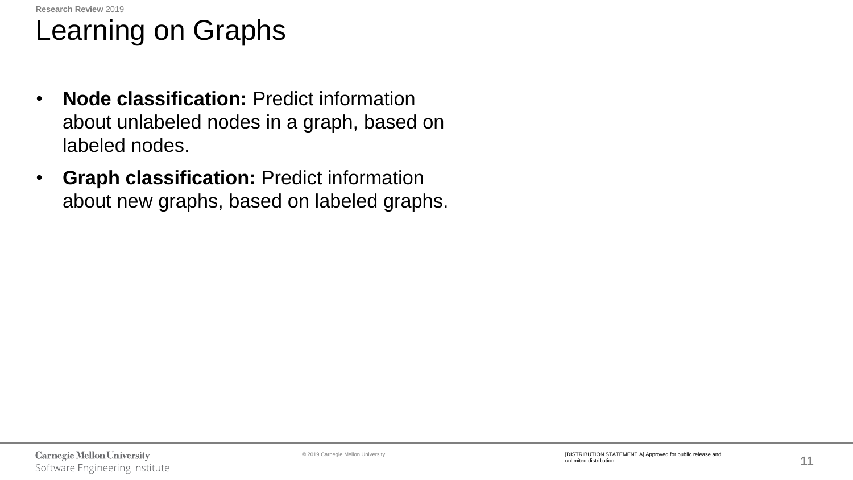## Learning on Graphs

- **Node classification:** Predict information about unlabeled nodes in a graph, based on labeled nodes.
- **Graph classification:** Predict information about new graphs, based on labeled graphs.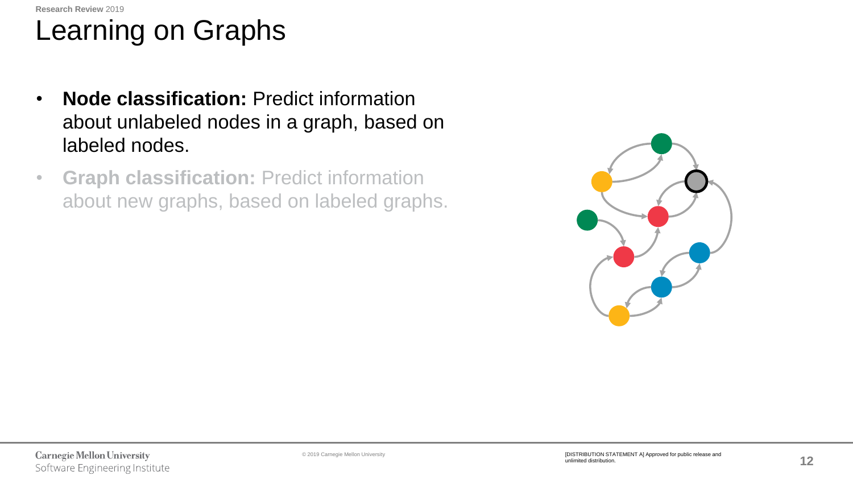**Research Review** 2019

# Learning on Graphs

- **Node classification:** Predict information about unlabeled nodes in a graph, based on labeled nodes.
- **Graph classification:** Predict information about new graphs, based on labeled graphs.

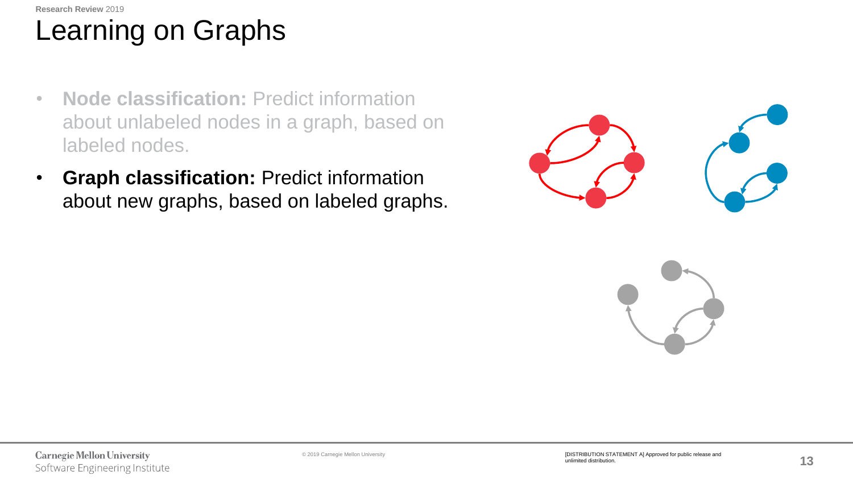**Research Review** 2019

# Learning on Graphs

- **Node classification:** Predict information about unlabeled nodes in a graph, based on labeled nodes.
- **Graph classification:** Predict information about new graphs, based on labeled graphs.